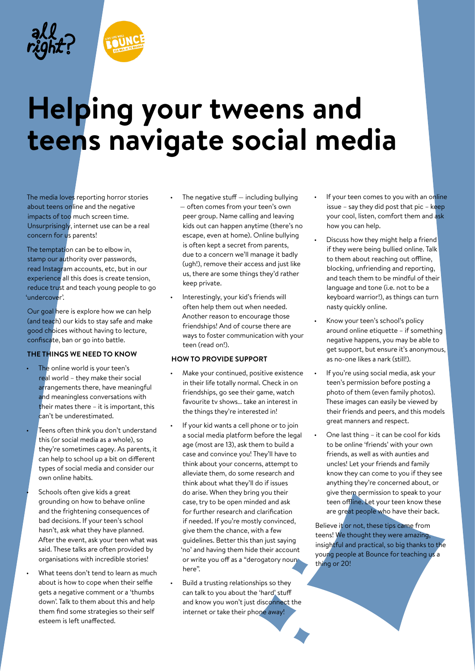

The media loves reporting horror stories about teens online and the negative impacts of too much screen time. Unsurprisingly, internet use can be a real concern for us parents!

The temptation can be to elbow in, stamp our authority over passwords, read Instagram accounts, etc, but in our experience all this does is create tension, reduce trust and teach young people to go 'undercover'.

Our goal here is explore how we can help (and teach) our kids to stay safe and make good choices without having to lecture, confiscate, ban or go into battle.

# **THE THINGS WE NEED TO KNOW**

- The online world is your teen's real world – they make their social arrangements there, have meaningful and meaningless conversations with their mates there – it is important, this can't be underestimated.
- Teens often think you don't understand this (or social media as a whole), so they're sometimes cagey. As parents, it can help to school up a bit on different types of social media and consider our own online habits.
	- Schools often give kids a great grounding on how to behave online and the frightening consequences of bad decisions. If your teen's school hasn't, ask what they have planned. After the event, ask your teen what was said. These talks are often provided by organisations with incredible stories!
- What teens don't tend to learn as much about is how to cope when their selfie gets a negative comment or a 'thumbs down'. Talk to them about this and help them find some strategies so their self esteem is left unaffected.
- The negative stuff  $-$  including bullying — often comes from your teen's own peer group. Name calling and leaving kids out can happen anytime (there's no escape, even at home). Online bullying is often kept a secret from parents, due to a concern we'll manage it badly (ugh!), remove their access and just like us, there are some things they'd rather keep private.
- Interestingly, your kid's friends will often help them out when needed. Another reason to encourage those friendships! And of course there are ways to foster communication with your teen (read on!).

### **HOW TO PROVIDE SUPPORT**

- Make your continued, positive existence in their life totally normal. Check in on friendships, go see their game, watch favourite tv shows… take an interest in the things they're interested in!
- If your kid wants a cell phone or to join a social media platform before the legal age (most are 13), ask them to build a case and convince you! They'll have to think about your concerns, attempt to alleviate them, do some research and think about what they'll do if issues do arise. When they bring you their case, try to be open minded and ask for further research and clarification if needed. If you're mostly convinced, give them the chance, with a few guidelines. Better this than just saying 'no' and having them hide their account or write you off as a "derogatory noun here".
- Build a trusting relationships so they can talk to you about the 'hard' stuff and know you won't just disconnect the internet or take their phone away!
- If your teen comes to you with an online issue – say they did post that pic – keep your cool, listen, comfort them and ask how you can help.
- Discuss how they might help a friend if they were being bullied online. Talk to them about reaching out offline, blocking, unfriending and reporting, and teach them to be mindful of their language and tone (i.e. not to be a keyboard warrior!), as things can turn nasty quickly online.
- Know your teen's school's policy around online etiquette – if something negative happens, you may be able to get support, but ensure it's anonymous, as no-one likes a nark (still!).
- If you're using social media, ask your teen's permission before posting a photo of them (even family photos). These images can easily be viewed by their friends and peers, and this models great manners and respect.
- One last thing it can be cool for kids to be online 'friends' with your own friends, as well as with aunties and uncles! Let your friends and family know they can come to you if they see anything they're concerned about, or give them permission to speak to your teen offline. Let your teen know these are great people who have their back.

Believe it or not, these tips came from teens! We thought they were amazing, insightful and practical, so big thanks to the young people at Bounce for teaching us a thing or 20!